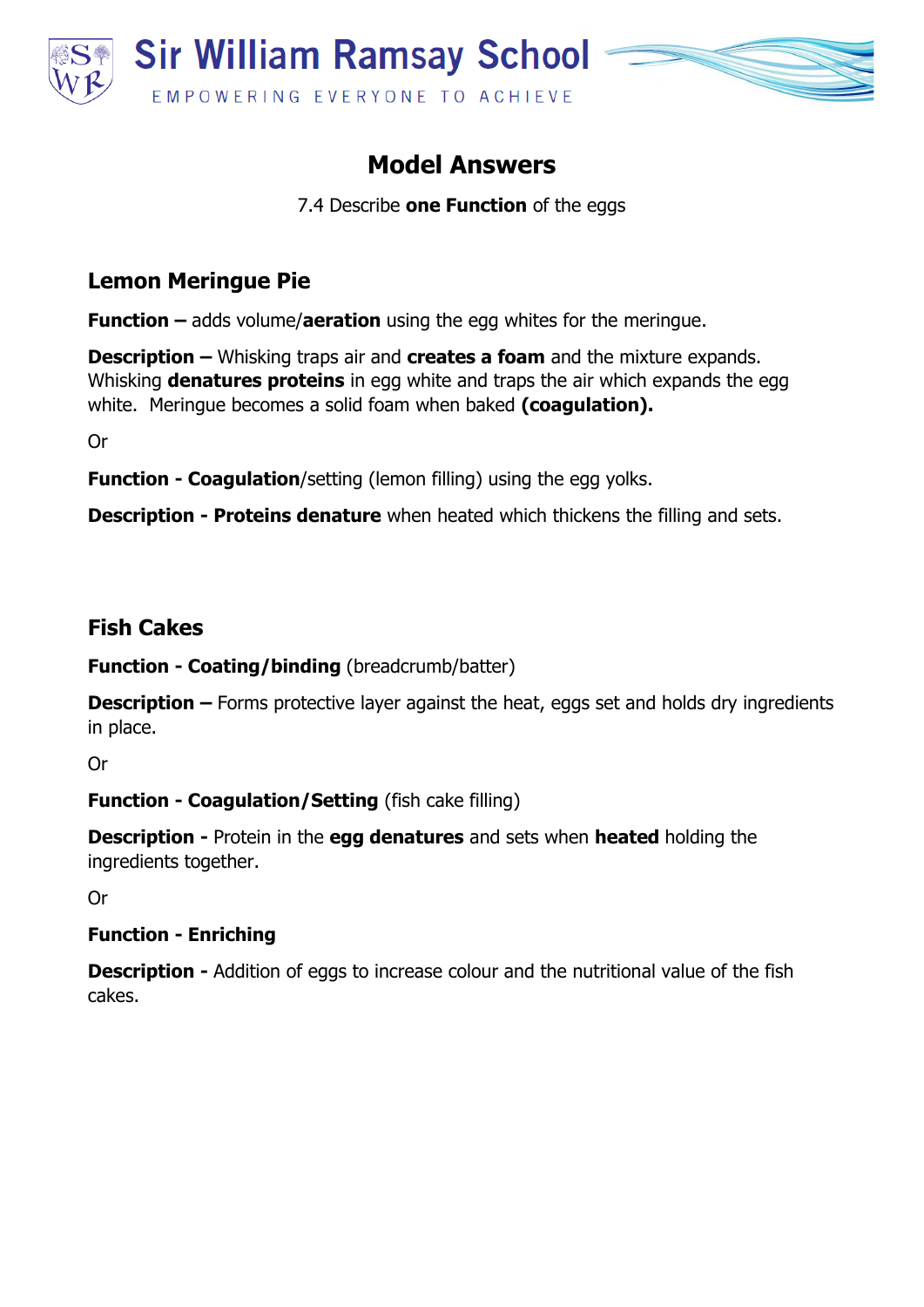

$$
\mathcal{L}(\mathcal{L})
$$

# **Model Answers**

7.4 Describe **one Function** of the eggs

## **Lemon Meringue Pie**

**Function –** adds volume/**aeration** using the egg whites for the meringue.

**Description –** Whisking traps air and **creates a foam** and the mixture expands. Whisking **denatures proteins** in egg white and traps the air which expands the egg white. Meringue becomes a solid foam when baked **(coagulation).**

Or

**Function - Coagulation**/setting (lemon filling) using the egg yolks.

**Description - Proteins denature** when heated which thickens the filling and sets.

## **Fish Cakes**

#### **Function - Coating/binding** (breadcrumb/batter)

**Description –** Forms protective layer against the heat, eggs set and holds dry ingredients in place.

Or

### **Function - Coagulation/Setting** (fish cake filling)

**Description -** Protein in the **egg denatures** and sets when **heated** holding the ingredients together.

Or

### **Function - Enriching**

**Description -** Addition of eggs to increase colour and the nutritional value of the fish cakes.